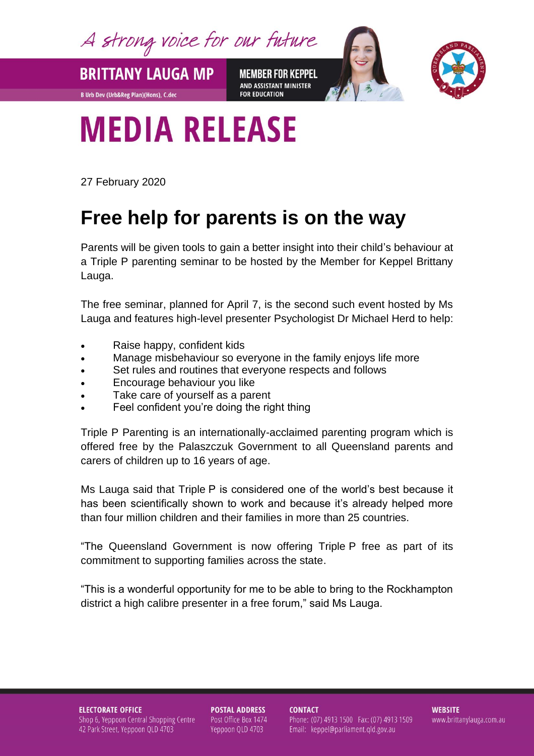A strong voice for our future

**BRITTANY LAUGA MP MEMBER FOR KEPPEL** AND ASSISTANT MINISTER **FOR EDUCATION** 



## **MEDIA RELEASE**

27 February 2020

**B Urb Dev (Urb&Reg Plan)(Hons), C.dec** 

## **Free help for parents is on the way**

Parents will be given tools to gain a better insight into their child's behaviour at a Triple P parenting seminar to be hosted by the Member for Keppel Brittany Lauga.

The free seminar, planned for April 7, is the second such event hosted by Ms Lauga and features high-level presenter Psychologist Dr Michael Herd to help:

- Raise happy, confident kids
- Manage misbehaviour so everyone in the family enjoys life more
- Set rules and routines that everyone respects and follows
- Encourage behaviour you like
- Take care of yourself as a parent
- Feel confident you're doing the right thing

Triple P Parenting is an internationally-acclaimed parenting program which is offered free by the Palaszczuk Government to all Queensland parents and carers of children up to 16 years of age.

Ms Lauga said that Triple P is considered one of the world's best because it has been scientifically shown to work and because it's already helped more than four million children and their families in more than 25 countries.

"The Queensland Government is now offering Triple P free as part of its commitment to supporting families across the state.

"This is a wonderful opportunity for me to be able to bring to the Rockhampton district a high calibre presenter in a free forum," said Ms Lauga.

**ELECTORATE OFFICE** Shop 6, Yeppoon Central Shopping Centre 42 Park Street, Yeppoon QLD 4703

**POSTAL ADDRESS** Post Office Box 1474 Yeppoon QLD 4703

**CONTACT** Phone: (07) 4913 1500 Fax: (07) 4913 1509 Email: keppel@parliament.qld.gov.au

**WEBSITE** www.brittanylauga.com.au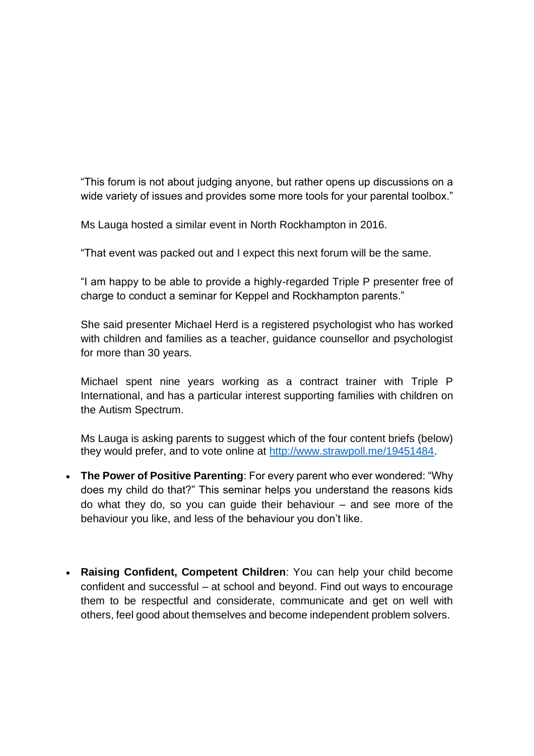"This forum is not about judging anyone, but rather opens up discussions on a wide variety of issues and provides some more tools for your parental toolbox."

Ms Lauga hosted a similar event in North Rockhampton in 2016.

"That event was packed out and I expect this next forum will be the same.

"I am happy to be able to provide a highly-regarded Triple P presenter free of charge to conduct a seminar for Keppel and Rockhampton parents."

She said presenter Michael Herd is a registered psychologist who has worked with children and families as a teacher, guidance counsellor and psychologist for more than 30 years.

Michael spent nine years working as a contract trainer with Triple P International, and has a particular interest supporting families with children on the Autism Spectrum.

Ms Lauga is asking parents to suggest which of the four content briefs (below) they would prefer, and to vote online at [http://www.strawpoll.me/19451484.](http://www.strawpoll.me/19451484)

- **The Power of Positive Parenting**: For every parent who ever wondered: "Why does my child do that?" This seminar helps you understand the reasons kids do what they do, so you can guide their behaviour – and see more of the behaviour you like, and less of the behaviour you don't like.
- **Raising Confident, Competent Children**: You can help your child become confident and successful – at school and beyond. Find out ways to encourage them to be respectful and considerate, communicate and get on well with others, feel good about themselves and become independent problem solvers.